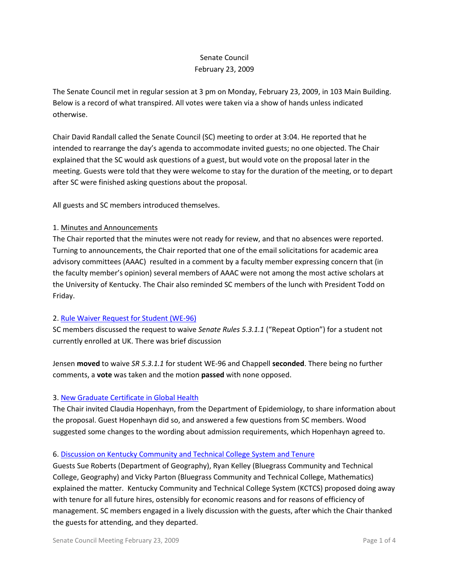# Senate Council February 23, 2009

The Senate Council met in regular session at 3 pm on Monday, February 23, 2009, in 103 Main Building. Below is a record of what transpired. All votes were taken via a show of hands unless indicated otherwise.

Chair David Randall called the Senate Council (SC) meeting to order at 3:04. He reported that he intended to rearrange the day's agenda to accommodate invited guests; no one objected. The Chair explained that the SC would ask questions of a guest, but would vote on the proposal later in the meeting. Guests were told that they were welcome to stay for the duration of the meeting, or to depart after SC were finished asking questions about the proposal.

All guests and SC members introduced themselves.

### 1. Minutes and Announcements

The Chair reported that the minutes were not ready for review, and that no absences were reported. Turning to announcements, the Chair reported that one of the email solicitations for academic area advisory committees (AAAC) resulted in a comment by a faculty member expressing concern that (in the faculty member's opinion) several members of AAAC were not among the most active scholars at the University of Kentucky. The Chair also reminded SC members of the lunch with President Todd on Friday.

## 2. [Rule Waiver Request for Student \(WE-96\)](http://www.uky.edu/USC/New/files/Rule%20Waiver%20WE-96.pdf)

SC members discussed the request to waive *Senate Rules 5.3.1.1* ("Repeat Option") for a student not currently enrolled at UK. There was brief discussion

Jensen **moved** to waive *SR 5.3.1.1* for student WE-96 and Chappell **seconded**. There being no further comments, a **vote** was taken and the motion **passed** with none opposed.

## 3. [New Graduate Certificate in Global Health](http://www.uky.edu/USC/New/files/Global%20Health-%20New%20Grad%20Cert_complete%204-24-08_no%20crs_Cmplt1.pdf)

The Chair invited Claudia Hopenhayn, from the Department of Epidemiology, to share information about the proposal. Guest Hopenhayn did so, and answered a few questions from SC members. Wood suggested some changes to the wording about admission requirements, which Hopenhayn agreed to.

#### 6. [Discussion on Kentucky Community and Technical College System and Tenure](http://www.uky.edu/USC/New/files/Tenure%20at%20BCTC_Complete.pdf)

Guests Sue Roberts (Department of Geography), Ryan Kelley (Bluegrass Community and Technical College, Geography) and Vicky Parton (Bluegrass Community and Technical College, Mathematics) explained the matter. Kentucky Community and Technical College System (KCTCS) proposed doing away with tenure for all future hires, ostensibly for economic reasons and for reasons of efficiency of management. SC members engaged in a lively discussion with the guests, after which the Chair thanked the guests for attending, and they departed.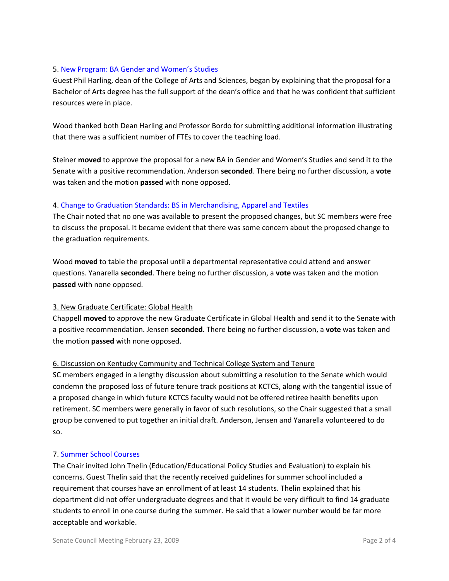## 5. [New Program: BA Gender and Women's Studies](http://www.uky.edu/USC/New/files/BA%20Gender%20&%20Women)

Guest Phil Harling, dean of the College of Arts and Sciences, began by explaining that the proposal for a Bachelor of Arts degree has the full support of the dean's office and that he was confident that sufficient resources were in place.

Wood thanked both Dean Harling and Professor Bordo for submitting additional information illustrating that there was a sufficient number of FTEs to cover the teaching load.

Steiner **moved** to approve the proposal for a new BA in Gender and Women's Studies and send it to the Senate with a positive recommendation. Anderson **seconded**. There being no further discussion, a **vote** was taken and the motion **passed** with none opposed.

### 4. Change to [Graduation Standards: BS in Merchandising, Apparel and Textiles](http://www.uky.edu/USC/New/files/Merchandising%20Txtile%20&%20Apparel%20-%20Prog%20Change_Complete.pdf)

The Chair noted that no one was available to present the proposed changes, but SC members were free to discuss the proposal. It became evident that there was some concern about the proposed change to the graduation requirements.

Wood **moved** to table the proposal until a departmental representative could attend and answer questions. Yanarella **seconded**. There being no further discussion, a **vote** was taken and the motion **passed** with none opposed.

## 3. New Graduate Certificate: Global Health

Chappell **moved** to approve the new Graduate Certificate in Global Health and send it to the Senate with a positive recommendation. Jensen **seconded**. There being no further discussion, a **vote** was taken and the motion **passed** with none opposed.

## 6. Discussion on Kentucky Community and Technical College System and Tenure

SC members engaged in a lengthy discussion about submitting a resolution to the Senate which would condemn the proposed loss of future tenure track positions at KCTCS, along with the tangential issue of a proposed change in which future KCTCS faculty would not be offered retiree health benefits upon retirement. SC members were generally in favor of such resolutions, so the Chair suggested that a small group be convened to put together an initial draft. Anderson, Jensen and Yanarella volunteered to do so.

#### 7. [Summer School Courses](http://www.uky.edu/USC/New/files/Provost)

The Chair invited John Thelin (Education/Educational Policy Studies and Evaluation) to explain his concerns. Guest Thelin said that the recently received guidelines for summer school included a requirement that courses have an enrollment of at least 14 students. Thelin explained that his department did not offer undergraduate degrees and that it would be very difficult to find 14 graduate students to enroll in one course during the summer. He said that a lower number would be far more acceptable and workable.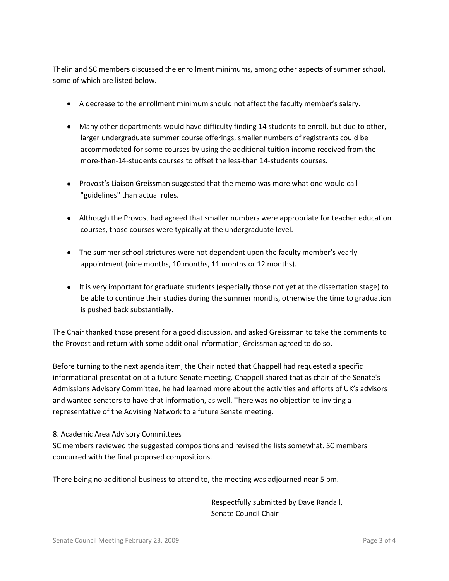Thelin and SC members discussed the enrollment minimums, among other aspects of summer school, some of which are listed below.

- A decrease to the enrollment minimum should not affect the faculty member's salary.
- Many other departments would have difficulty finding 14 students to enroll, but due to other, larger undergraduate summer course offerings, smaller numbers of registrants could be accommodated for some courses by using the additional tuition income received from the more-than-14-students courses to offset the less-than 14-students courses.
- Provost's Liaison Greissman suggested that the memo was more what one would call "guidelines" than actual rules.
- Although the Provost had agreed that smaller numbers were appropriate for teacher education courses, those courses were typically at the undergraduate level.
- The summer school strictures were not dependent upon the faculty member's yearly appointment (nine months, 10 months, 11 months or 12 months).
- It is very important for graduate students (especially those not yet at the dissertation stage) to be able to continue their studies during the summer months, otherwise the time to graduation is pushed back substantially.

The Chair thanked those present for a good discussion, and asked Greissman to take the comments to the Provost and return with some additional information; Greissman agreed to do so.

Before turning to the next agenda item, the Chair noted that Chappell had requested a specific informational presentation at a future Senate meeting. Chappell shared that as chair of the Senate's Admissions Advisory Committee, he had learned more about the activities and efforts of UK's advisors and wanted senators to have that information, as well. There was no objection to inviting a representative of the Advising Network to a future Senate meeting.

## 8. Academic Area Advisory Committees

SC members reviewed the suggested compositions and revised the lists somewhat. SC members concurred with the final proposed compositions.

There being no additional business to attend to, the meeting was adjourned near 5 pm.

Respectfully submitted by Dave Randall, Senate Council Chair